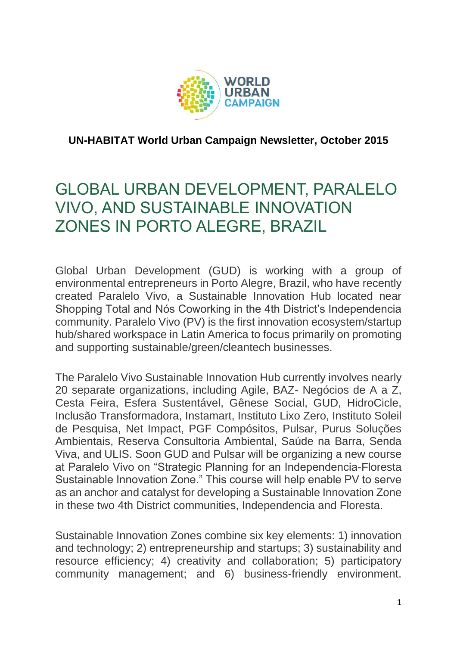

**UN-HABITAT World Urban Campaign Newsletter, October 2015**

## GLOBAL URBAN DEVELOPMENT, PARALELO VIVO, AND SUSTAINABLE INNOVATION ZONES IN PORTO ALEGRE, BRAZIL

Global Urban Development (GUD) is working with a group of environmental entrepreneurs in Porto Alegre, Brazil, who have recently created Paralelo Vivo, a Sustainable Innovation Hub located near Shopping Total and Nós Coworking in the 4th District's Independencia community. Paralelo Vivo (PV) is the first innovation ecosystem/startup hub/shared workspace in Latin America to focus primarily on promoting and supporting sustainable/green/cleantech businesses.

The Paralelo Vivo Sustainable Innovation Hub currently involves nearly 20 separate organizations, including Agile, BAZ- Negócios de A a Z, Cesta Feira, Esfera Sustentável, Gênese Social, GUD, HidroCicle, Inclusão Transformadora, Instamart, Instituto Lixo Zero, Instituto Soleil de Pesquisa, Net Impact, PGF Compósitos, Pulsar, Purus Soluções Ambientais, Reserva Consultoria Ambiental, Saúde na Barra, Senda Viva, and ULIS. Soon GUD and Pulsar will be organizing a new course at Paralelo Vivo on "Strategic Planning for an Independencia-Floresta Sustainable Innovation Zone." This course will help enable PV to serve as an anchor and catalyst for developing a Sustainable Innovation Zone in these two 4th District communities, Independencia and Floresta.

Sustainable Innovation Zones combine six key elements: 1) innovation and technology; 2) entrepreneurship and startups; 3) sustainability and resource efficiency; 4) creativity and collaboration; 5) participatory community management; and 6) business-friendly environment.